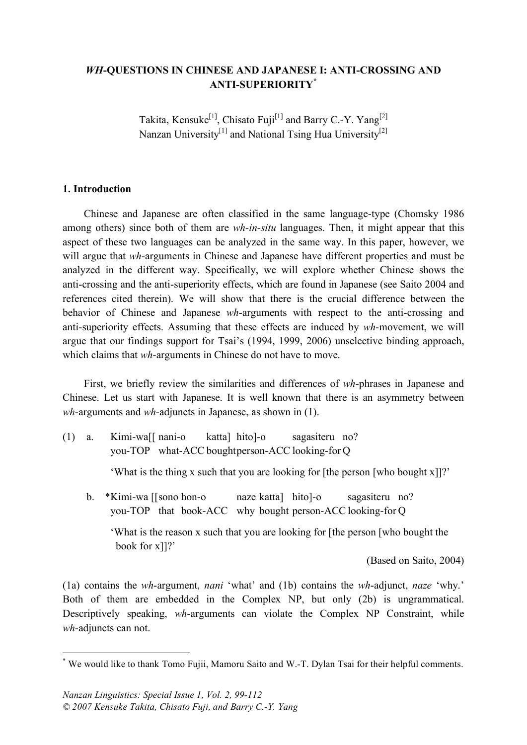## *WH***-QUESTIONS IN CHINESE AND JAPANESE I: ANTI-CROSSING AND ANTI-SUPERIORITY\***

Takita, Kensuke<sup>[1]</sup>, Chisato Fuji<sup>[1]</sup> and Barry C.-Y. Yang<sup>[2]</sup> Nanzan University<sup>[1]</sup> and National Tsing Hua University<sup>[2]</sup>

#### **1. Introduction**

Chinese and Japanese are often classified in the same language-type (Chomsky 1986 among others) since both of them are *wh-in-situ* languages. Then, it might appear that this aspect of these two languages can be analyzed in the same way. In this paper, however, we will argue that *wh*-arguments in Chinese and Japanese have different properties and must be analyzed in the different way. Specifically, we will explore whether Chinese shows the anti-crossing and the anti-superiority effects, which are found in Japanese (see Saito 2004 and references cited therein). We will show that there is the crucial difference between the behavior of Chinese and Japanese *wh*-arguments with respect to the anti-crossing and anti-superiority effects. Assuming that these effects are induced by *wh*-movement, we will argue that our findings support for Tsai's (1994, 1999, 2006) unselective binding approach, which claims that *wh*-arguments in Chinese do not have to move.

First, we briefly review the similarities and differences of *wh*-phrases in Japanese and Chinese. Let us start with Japanese. It is well known that there is an asymmetry between *wh*-arguments and *wh*-adjuncts in Japanese, as shown in (1).

(1) a. Kimi-wa[[ nani-o katta] hito]-o sagasiteru no? you-TOP what-ACC boughtperson-ACC looking-for Q

'What is the thing x such that you are looking for [the person [who bought x]]?'

b. \*Kimi-wa [[sono hon-o naze katta] hito]-o sagasiteru no? you-TOP that book-ACC why bought person-ACC looking-for Q

'What is the reason x such that you are looking for [the person [who bought the book for x]]?'

(Based on Saito, 2004)

(1a) contains the *wh*-argument, *nani* 'what' and (1b) contains the *wh*-adjunct, *naze* 'why.' Both of them are embedded in the Complex NP, but only (2b) is ungrammatical. Descriptively speaking, *wh*-arguments can violate the Complex NP Constraint, while *wh*-adjuncts can not.

 <sup>\*</sup> We would like to thank Tomo Fujii, Mamoru Saito and W.-T. Dylan Tsai for their helpful comments.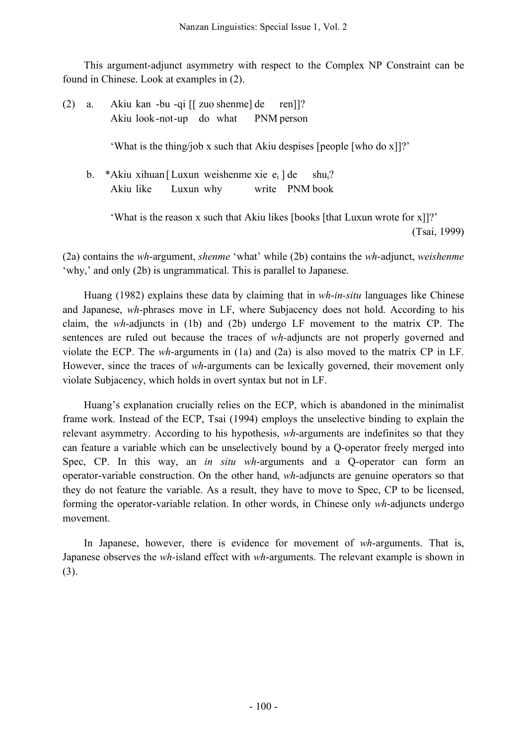This argument-adjunct asymmetry with respect to the Complex NP Constraint can be found in Chinese. Look at examples in (2).

(2) a. Akiu kan -bu -qi [[ zuo shenme] de ren]]? Akiu look-not-up do what PNM person

'What is the thing/job x such that Akiu despises [people [who do x]]?'

b. \*Akiu xihuan [Luxun weishenme xie  $e_i$ ] de shu<sub>i</sub>? Akiu like Luxun why write PNM book

> 'What is the reason x such that Akiu likes [books [that Luxun wrote for x]]?' (Tsai, 1999)

(2a) contains the *wh*-argument, *shenme* 'what' while (2b) contains the *wh*-adjunct, *weishenme* 'why,' and only (2b) is ungrammatical. This is parallel to Japanese.

Huang (1982) explains these data by claiming that in *wh*-*in-situ* languages like Chinese and Japanese, *wh*-phrases move in LF, where Subjacency does not hold. According to his claim, the *wh*-adjuncts in (1b) and (2b) undergo LF movement to the matrix CP. The sentences are ruled out because the traces of *wh-*adjuncts are not properly governed and violate the ECP. The *wh*-arguments in (1a) and (2a) is also moved to the matrix CP in LF. However, since the traces of *wh*-arguments can be lexically governed, their movement only violate Subjacency, which holds in overt syntax but not in LF.

Huang's explanation crucially relies on the ECP, which is abandoned in the minimalist frame work. Instead of the ECP, Tsai (1994) employs the unselective binding to explain the relevant asymmetry. According to his hypothesis, *wh*-arguments are indefinites so that they can feature a variable which can be unselectively bound by a Q-operator freely merged into Spec, CP. In this way, an *in situ wh*-arguments and a Q-operator can form an operator-variable construction. On the other hand, *wh*-adjuncts are genuine operators so that they do not feature the variable. As a result, they have to move to Spec, CP to be licensed, forming the operator-variable relation. In other words, in Chinese only *wh*-adjuncts undergo movement.

In Japanese, however, there is evidence for movement of *wh*-arguments. That is, Japanese observes the *wh-*island effect with *wh*-arguments. The relevant example is shown in (3).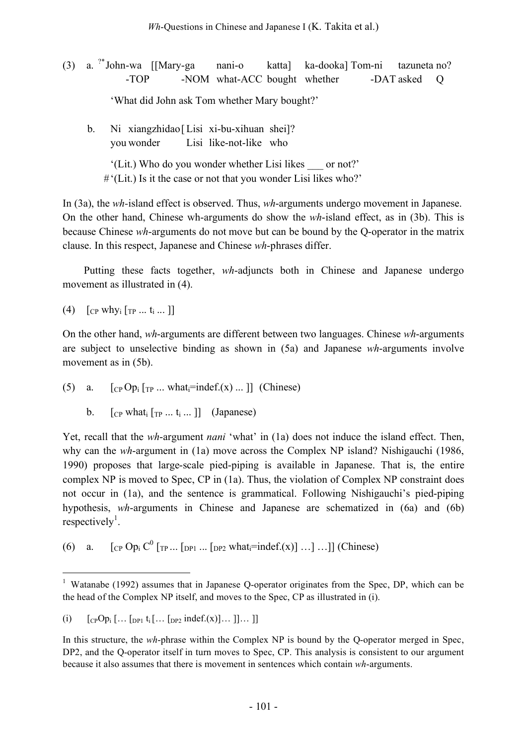(3) a. ?\* John-wa [[Mary-ga nani-o katta] ka-dooka] Tom-ni tazuneta no? -TOP -NOM what-ACC bought whether -DAT asked Q 'What did John ask Tom whether Mary bought?'

b. Ni xiangzhidao[Lisi xi-bu-xihuan shei]? you wonder Lisi like-not-like who

'(Lit.) Who do you wonder whether Lisi likes \_\_\_ or not?' #'(Lit.) Is it the case or not that you wonder Lisi likes who?'

In (3a), the *wh-*island effect is observed. Thus, *wh*-arguments undergo movement in Japanese. On the other hand, Chinese wh-arguments do show the *wh*-island effect, as in (3b). This is because Chinese *wh*-arguments do not move but can be bound by the Q-operator in the matrix clause. In this respect, Japanese and Chinese *wh*-phrases differ.

Putting these facts together, *wh*-adjuncts both in Chinese and Japanese undergo movement as illustrated in (4).

(4)  $[CP \text{ why}_i [TP \dots t_i \dots ]]$ 

On the other hand, *wh*-arguments are different between two languages. Chinese *wh*-arguments are subject to unselective binding as shown in (5a) and Japanese *wh*-arguments involve movement as in  $(5b)$ .

(5) a.  $\lceil \text{CP Op}_i \rceil_{\text{TP}} ...$  what = indef.(x) ... ]] (Chinese)

b.  $[\begin{array}{cc} \n\text{Cp} \n\end{array}$  what  $[\begin{array}{cc} \n\text{Tp} \n\end{array}$  ...  $[t]$   $\ldots$   $[l]$   $\ldots$  (Japanese)

Yet, recall that the *wh*-argument *nani* 'what' in (1a) does not induce the island effect. Then, why can the *wh*-argument in (1a) move across the Complex NP island? Nishigauchi (1986, 1990) proposes that large-scale pied-piping is available in Japanese. That is, the entire complex NP is moved to Spec, CP in (1a). Thus, the violation of Complex NP constraint does not occur in (1a), and the sentence is grammatical. Following Nishigauchi's pied-piping hypothesis, *wh*-arguments in Chinese and Japanese are schematized in (6a) and (6b) respectively<sup>1</sup>.

(6) a.  $[CP \text{ Op}_i C^0 \text{ [TP} ... \text{ [DP]} ... \text{ [DP]} \text{ what} \text{ } = \text{indef}(x)] ... ] ... ]$  (Chinese)

<sup>&</sup>lt;sup>1</sup> Watanabe (1992) assumes that in Japanese Q-operator originates from the Spec, DP, which can be the head of the Complex NP itself, and moves to the Spec, CP as illustrated in (i).

<sup>(</sup>i)  $[CPOp_i$   $[...$   $[DP_1$   $t_i$   $[...$   $[DP_2]$   $indef.(x)]...$   $]]...$  ]]

In this structure, the *wh*-phrase within the Complex NP is bound by the Q-operator merged in Spec, DP2, and the Q-operator itself in turn moves to Spec, CP. This analysis is consistent to our argument because it also assumes that there is movement in sentences which contain *wh*-arguments.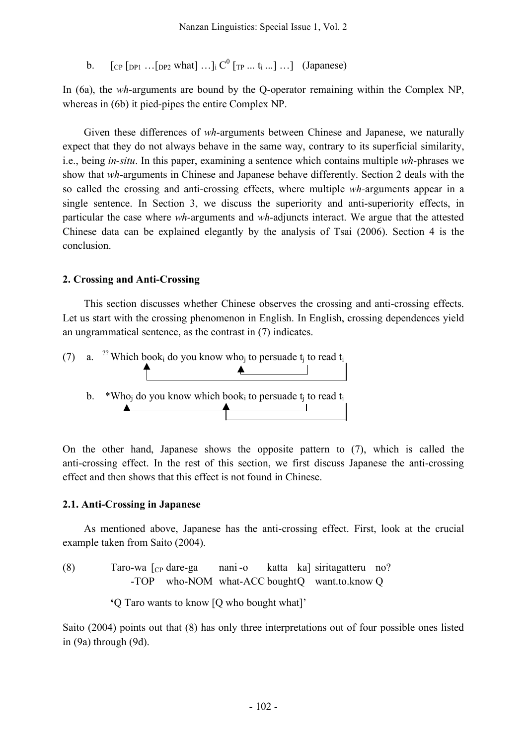b.  $[CP [DP] ... [DP]$  what $] ...]$ ;  $C^{0} [TP ... t_{i} ...] ...]$  (Japanese)

In (6a), the *wh*-arguments are bound by the Q-operator remaining within the Complex NP, whereas in (6b) it pied-pipes the entire Complex NP.

Given these differences of *wh-*arguments between Chinese and Japanese, we naturally expect that they do not always behave in the same way, contrary to its superficial similarity, i.e., being *in-situ*. In this paper, examining a sentence which contains multiple *wh-*phrases we show that *wh*-arguments in Chinese and Japanese behave differently. Section 2 deals with the so called the crossing and anti-crossing effects, where multiple *wh-*arguments appear in a single sentence. In Section 3, we discuss the superiority and anti-superiority effects, in particular the case where *wh-*arguments and *wh-*adjuncts interact. We argue that the attested Chinese data can be explained elegantly by the analysis of Tsai (2006). Section 4 is the conclusion.

## **2. Crossing and Anti-Crossing**

This section discusses whether Chinese observes the crossing and anti-crossing effects. Let us start with the crossing phenomenon in English. In English, crossing dependences yield an ungrammatical sentence, as the contrast in (7) indicates.



On the other hand, Japanese shows the opposite pattern to (7), which is called the anti-crossing effect. In the rest of this section, we first discuss Japanese the anti-crossing effect and then shows that this effect is not found in Chinese.

## **2.1. Anti-Crossing in Japanese**

As mentioned above, Japanese has the anti-crossing effect. First, look at the crucial example taken from Saito (2004).

(8) Taro-wa [CP dare-ga nani -o katta ka] siritagatteru no? -TOP who-NOM what-ACC boughtQ want.to.know Q

**'**Q Taro wants to know [Q who bought what]'

Saito (2004) points out that (8) has only three interpretations out of four possible ones listed in (9a) through (9d).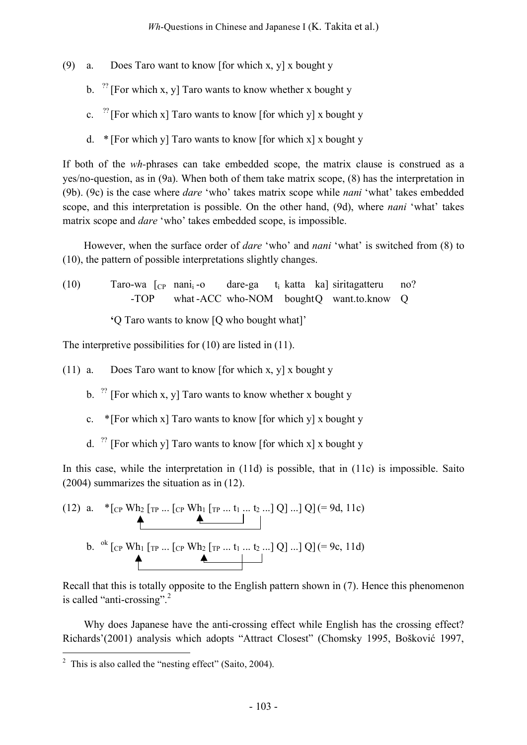- (9) a. Does Taro want to know [for which x, y] x bought y
	- b.  $^{27}$  [For which x, y] Taro wants to know whether x bought y
	- c.  $^{27}$  [For which x] Taro wants to know [for which y] x bought y
	- d. \* [For which y] Taro wants to know [for which x] x bought y

If both of the *wh-*phrases can take embedded scope, the matrix clause is construed as a yes/no-question, as in (9a). When both of them take matrix scope, (8) has the interpretation in (9b). (9c) is the case where *dare* 'who' takes matrix scope while *nani* 'what' takes embedded scope, and this interpretation is possible. On the other hand, (9d), where *nani* 'what' takes matrix scope and *dare* 'who' takes embedded scope, is impossible.

However, when the surface order of *dare* 'who' and *nani* 'what' is switched from (8) to (10), the pattern of possible interpretations slightly changes.

(10) Taro-wa  $\begin{bmatrix} C_P \end{bmatrix}$  nani<sub>i</sub>-o dare-ga t<sub>i</sub> katta ka] siritagatteru no? -TOP what -ACC who-NOM boughtQ want.to.know Q

**'**Q Taro wants to know [Q who bought what]'

The interpretive possibilities for (10) are listed in (11).

- (11) a. Does Taro want to know [for which x, y] x bought y
	- b.  $^{27}$  [For which x, y] Taro wants to know whether x bought y
	- c. \* [For which x] Taro wants to know [for which y] x bought y
	- d.  $^{27}$  [For which y] Taro wants to know [for which x] x bought y

In this case, while the interpretation in (11d) is possible, that in (11c) is impossible. Saito (2004) summarizes the situation as in (12).

(12) a. 
$$
*_{\text{CP}} \text{Wh}_2 \text{ [TP} ... \text{ [CP Wh}_1 \text{ [TP} ... t_1 ... t_2 ...] Q] ...] Q] (= 9d, 11c)
$$
  
b. 
$$
{}^{ok} \text{ [CP Wh}_1 \text{ [TP} ... \text{ [CP Wh}_2 \text{ [TP} ... t_1 ... t_2 ...] Q] ...] Q] (= 9c, 11d)
$$

Recall that this is totally opposite to the English pattern shown in (7). Hence this phenomenon is called "anti-crossing".<sup>2</sup>

Why does Japanese have the anti-crossing effect while English has the crossing effect? Richards'(2001) analysis which adopts "Attract Closest" (Chomsky 1995, Bošković 1997,

 $2$  This is also called the "nesting effect" (Saito, 2004).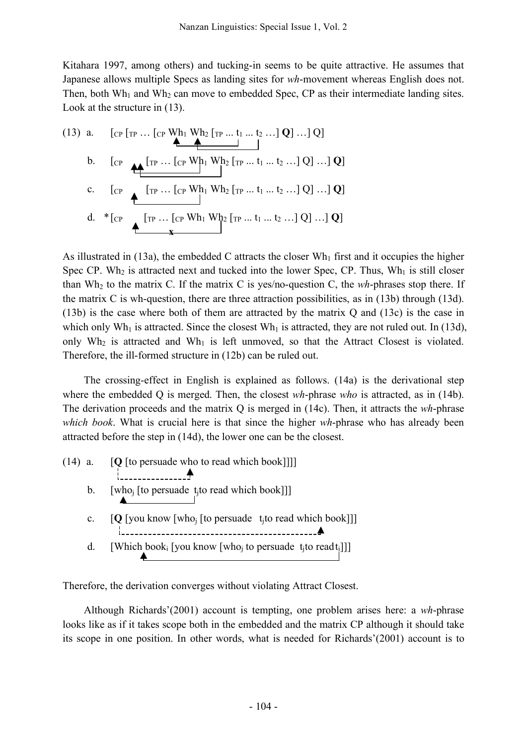Kitahara 1997, among others) and tucking-in seems to be quite attractive. He assumes that Japanese allows multiple Specs as landing sites for *wh*-movement whereas English does not. Then, both Wh<sub>1</sub> and Wh<sub>2</sub> can move to embedded Spec, CP as their intermediate landing sites. Look at the structure in (13).

(13) a. [CP [TP … [CP Wh1 Wh2 [TP ... t1 ... t2 …] **Q**] …] Q] b. [CP [TP … [CP Wh1 Wh2 [TP ... t1 ... t2 …] Q] …] **Q**] c. [CP [TP … [CP Wh1 Wh2 [TP ... t1 ... t2 …] Q] …] **Q**] d. \*[CP [TP … [CP Wh1 Wh2 [TP ... t1 ... t2 …] Q] …] **Q**] **x**

As illustrated in  $(13a)$ , the embedded C attracts the closer Wh<sub>1</sub> first and it occupies the higher Spec CP. Wh<sub>2</sub> is attracted next and tucked into the lower Spec, CP. Thus, Wh<sub>1</sub> is still closer than  $Wh_2$  to the matrix C. If the matrix C is yes/no-question C, the  $wh$ -phrases stop there. If the matrix C is wh-question, there are three attraction possibilities, as in (13b) through (13d). (13b) is the case where both of them are attracted by the matrix Q and (13c) is the case in which only Wh<sub>1</sub> is attracted. Since the closest Wh<sub>1</sub> is attracted, they are not ruled out. In (13d), only  $Wh_2$  is attracted and  $Wh_1$  is left unmoved, so that the Attract Closest is violated. Therefore, the ill-formed structure in (12b) can be ruled out.

The crossing-effect in English is explained as follows. (14a) is the derivational step where the embedded Q is merged. Then, the closest *wh*-phrase *who* is attracted, as in (14b). The derivation proceeds and the matrix Q is merged in (14c). Then, it attracts the *wh*-phrase *which book*. What is crucial here is that since the higher *wh*-phrase who has already been attracted before the step in (14d), the lower one can be the closest.

|             | $(14)$ a. $[Q]$ [to persuade who to read which book]]]]                                                   |
|-------------|-----------------------------------------------------------------------------------------------------------|
| $b_{\cdot}$ | [who <sub>i</sub> [to persuade t <sub>i</sub> to read which book]]]                                       |
| $c_{\cdot}$ | [Q [you know [who <sub>i</sub> [to persuade t <sub>i</sub> to read which book]]]                          |
| $d_{\cdot}$ | [Which book <sub>i</sub> [you know [who <sub>j</sub> to persuade t <sub>j</sub> to readt <sub>i</sub> ]]] |

Therefore, the derivation converges without violating Attract Closest.

Although Richards'(2001) account is tempting, one problem arises here: a *wh*-phrase looks like as if it takes scope both in the embedded and the matrix CP although it should take its scope in one position. In other words, what is needed for Richards'(2001) account is to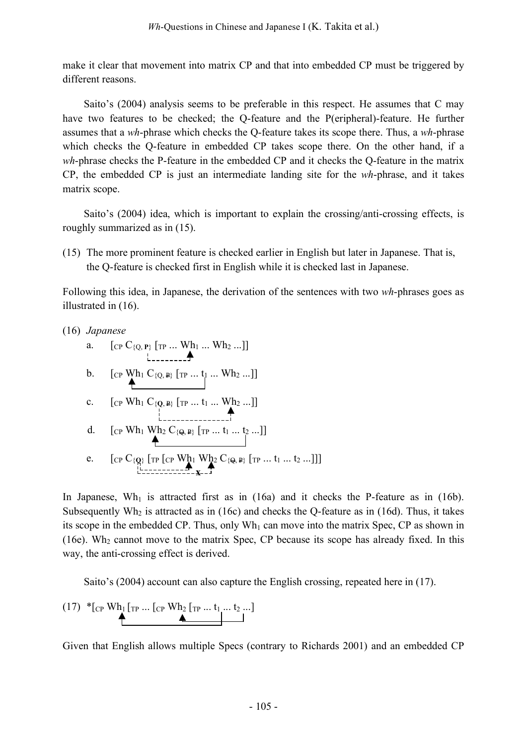make it clear that movement into matrix CP and that into embedded CP must be triggered by different reasons.

Saito's (2004) analysis seems to be preferable in this respect. He assumes that C may have two features to be checked; the Q-feature and the P(eripheral)-feature. He further assumes that a *wh*-phrase which checks the Q-feature takes its scope there. Thus, a *wh*-phrase which checks the Q-feature in embedded CP takes scope there. On the other hand, if a *wh*-phrase checks the P-feature in the embedded CP and it checks the Q-feature in the matrix CP, the embedded CP is just an intermediate landing site for the *wh*-phrase, and it takes matrix scope.

Saito's (2004) idea, which is important to explain the crossing/anti-crossing effects, is roughly summarized as in (15).

(15) The more prominent feature is checked earlier in English but later in Japanese. That is, the Q-feature is checked first in English while it is checked last in Japanese.

Following this idea, in Japanese, the derivation of the sentences with two *wh*-phrases goes as illustrated in (16).

| (16) Japanese |                                                                                                |  |
|---------------|------------------------------------------------------------------------------------------------|--|
| a.            | $[\text{CP } C_{\{Q, P\}} [\text{TP }  \text{ Wh}_1  \text{ Wh}_2 ]]$                          |  |
|               | b. $[CP \mathbf{Wh}_1 \mathbf{C}_{\{Q,\mathbf{P}\}} [TP \dots t_1 \dots \mathbf{Wh}_2 \dots]]$ |  |
| $c_{\cdot}$   | [CP Wh <sub>1</sub> $C_{\{Q,\ P\}}$ [TP $t_1$ Wh <sub>2</sub> ]]                               |  |
|               | [CP Wh <sub>1</sub> Wh <sub>2</sub> C <sub>{Q, P}</sub> [TP  t <sub>1</sub> t <sub>2</sub> ]]  |  |
|               | $[CP C_{\{Q\}} [TP [CP Wh_1 Wh_2 C_{\{\Theta,\Phi\}} [TP  t_1  t_2 ]]]$                        |  |
|               |                                                                                                |  |

In Japanese,  $Wh_1$  is attracted first as in (16a) and it checks the P-feature as in (16b). Subsequently Wh<sub>2</sub> is attracted as in (16c) and checks the Q-feature as in (16d). Thus, it takes its scope in the embedded CP. Thus, only  $Wh_1$  can move into the matrix Spec, CP as shown in (16e). Wh<sub>2</sub> cannot move to the matrix Spec, CP because its scope has already fixed. In this way, the anti-crossing effect is derived.

Saito's (2004) account can also capture the English crossing, repeated here in (17).

$$
(17) \begin{array}{c} \ast_{\text{CP}} \text{Wh}_1 \text{[TP} \dots \text{[CP Wh}_2 \text{[TP} \dots \text{t}_1 \dots \text{t}_2 \dots] \\ \hline \end{array}
$$

Given that English allows multiple Specs (contrary to Richards 2001) and an embedded CP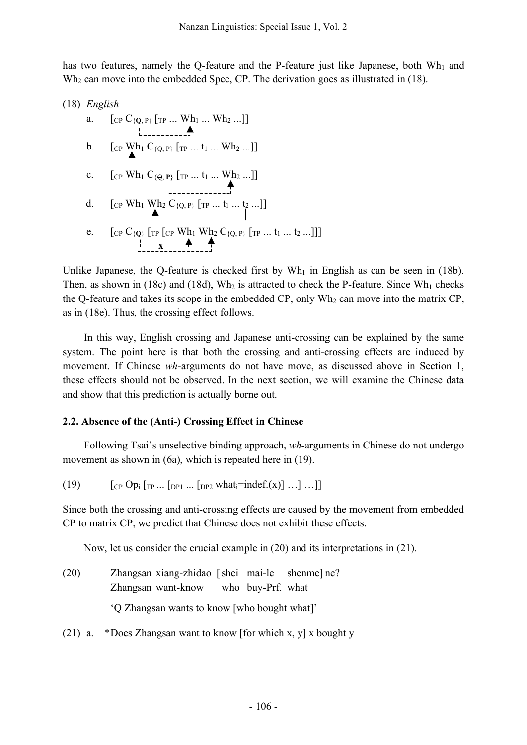has two features, namely the Q-feature and the P-feature just like Japanese, both  $Wh_1$  and Wh<sub>2</sub> can move into the embedded Spec, CP. The derivation goes as illustrated in (18).

(18) *English* a. [CP C{**Q**, P} [TP ... Wh1 ... Wh2 ...]] b. [CP Wh1 C{Q, P} [TP ... t1 ... Wh2 ...]] c. [CP Wh1 C{Q, **<sup>P</sup>**} [TP ... t1 ... Wh2 ...]] d. [CP Wh1 Wh2 C{Q, P} [TP ... t1 ... t2 ...]] e. [CP C{**Q**} [TP [CP Wh1 Wh2 C{Q, P} [TP ... t1 ... t2 ...]]] **x**

Unlike Japanese, the Q-feature is checked first by  $Wh_1$  in English as can be seen in (18b). Then, as shown in (18c) and (18d),  $Wh_2$  is attracted to check the P-feature. Since  $Wh_1$  checks the Q-feature and takes its scope in the embedded CP, only  $Wh_2$  can move into the matrix CP, as in (18e). Thus, the crossing effect follows.

In this way, English crossing and Japanese anti-crossing can be explained by the same system. The point here is that both the crossing and anti-crossing effects are induced by movement. If Chinese *wh*-arguments do not have move, as discussed above in Section 1, these effects should not be observed. In the next section, we will examine the Chinese data and show that this prediction is actually borne out.

# **2.2. Absence of the (Anti-) Crossing Effect in Chinese**

Following Tsai's unselective binding approach, *wh*-arguments in Chinese do not undergo movement as shown in (6a), which is repeated here in (19).

$$
(19) \qquad \qquad [c_P \text{ Op}_i \text{ [TP} \dots \text{ [DP1} \dots \text{ [DP2} \text{ what} \text{ }\text{ }\text{ }\text{ }\text{ }\text{ }\text{ }\text{ }\text{ }\text{ } \text{ } [c_R \text{ O} \text{] } \dots \text{ ] } \dots]]
$$

Since both the crossing and anti-crossing effects are caused by the movement from embedded CP to matrix CP, we predict that Chinese does not exhibit these effects.

Now, let us consider the crucial example in (20) and its interpretations in (21).

- (20) Zhangsan xiang-zhidao [shei mai-le shenme] ne? Zhangsan want-know who buy-Prf. what 'Q Zhangsan wants to know [who bought what]'
- (21) a. \*Does Zhangsan want to know [for which x, y] x bought y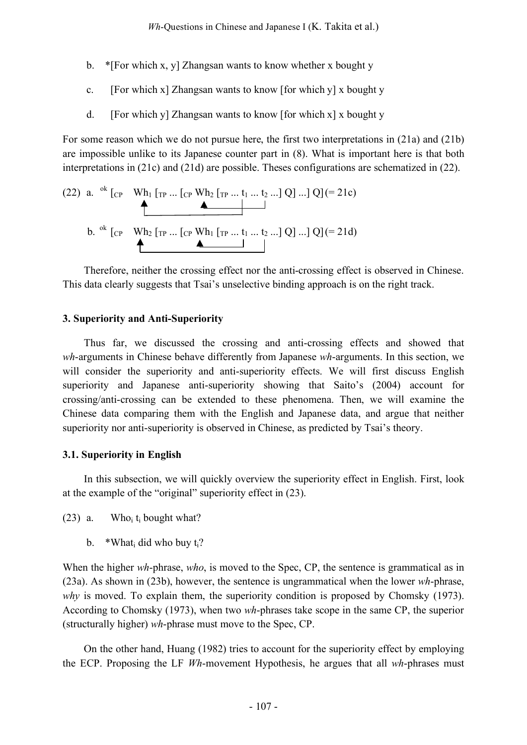- b. \*[For which x, y] Zhangsan wants to know whether x bought y
- c. [For which x] Zhangsan wants to know [for which y] x bought y
- d. [For which y] Zhangsan wants to know [for which x] x bought y

For some reason which we do not pursue here, the first two interpretations in (21a) and (21b) are impossible unlike to its Japanese counter part in (8). What is important here is that both interpretations in (21c) and (21d) are possible. Theses configurations are schematized in (22).

(22) a. ok [CP Wh1 [TP ... [CP Wh2 [TP ... t1 ... t2 ...] Q] ...] Q](= 21c) b. ok [CP Wh2 [TP ... [CP Wh1 [TP ... t1 ... t2 ...] Q] ...] Q](= 21d)

Therefore, neither the crossing effect nor the anti-crossing effect is observed in Chinese. This data clearly suggests that Tsai's unselective binding approach is on the right track.

## **3. Superiority and Anti-Superiority**

Thus far, we discussed the crossing and anti-crossing effects and showed that *wh*-arguments in Chinese behave differently from Japanese *wh*-arguments. In this section, we will consider the superiority and anti-superiority effects. We will first discuss English superiority and Japanese anti-superiority showing that Saito's (2004) account for crossing/anti-crossing can be extended to these phenomena. Then, we will examine the Chinese data comparing them with the English and Japanese data, and argue that neither superiority nor anti-superiority is observed in Chinese, as predicted by Tsai's theory.

## **3.1. Superiority in English**

In this subsection, we will quickly overview the superiority effect in English. First, look at the example of the "original" superiority effect in (23).

- (23) a. Who<sub>i</sub>  $t_i$  bought what?
	- b. \*What<sub>i</sub> did who buy  $t_i$ ?

When the higher *wh*-phrase, *who*, is moved to the Spec, CP, the sentence is grammatical as in (23a). As shown in (23b), however, the sentence is ungrammatical when the lower *wh*-phrase, *why* is moved. To explain them, the superiority condition is proposed by Chomsky (1973). According to Chomsky (1973), when two *wh*-phrases take scope in the same CP, the superior (structurally higher) *wh*-phrase must move to the Spec, CP.

On the other hand, Huang (1982) tries to account for the superiority effect by employing the ECP. Proposing the LF *Wh*-movement Hypothesis, he argues that all *wh*-phrases must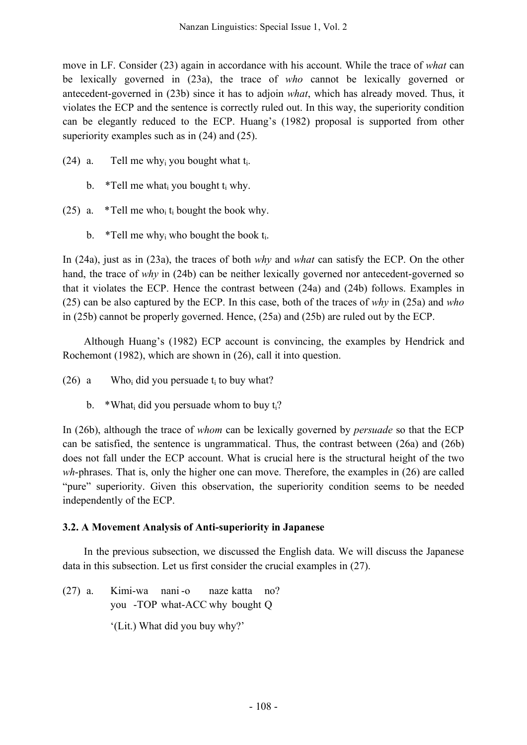move in LF. Consider (23) again in accordance with his account. While the trace of *what* can be lexically governed in (23a), the trace of *who* cannot be lexically governed or antecedent-governed in (23b) since it has to adjoin *what*, which has already moved. Thus, it violates the ECP and the sentence is correctly ruled out. In this way, the superiority condition can be elegantly reduced to the ECP. Huang's (1982) proposal is supported from other superiority examples such as in  $(24)$  and  $(25)$ .

- (24) a. Tell me why<sub>i</sub> you bought what  $t_i$ .
	- b. \*Tell me what i you bought  $t_i$  why.
- (25) a.  $*Tell$  me who<sub>i</sub> t<sub>i</sub> bought the book why.
	- b. \*Tell me why<sub>i</sub> who bought the book  $t_i$ .

In (24a), just as in (23a), the traces of both *why* and *what* can satisfy the ECP. On the other hand, the trace of *why* in (24b) can be neither lexically governed nor antecedent-governed so that it violates the ECP. Hence the contrast between (24a) and (24b) follows. Examples in (25) can be also captured by the ECP. In this case, both of the traces of *why* in (25a) and *who* in (25b) cannot be properly governed. Hence, (25a) and (25b) are ruled out by the ECP.

Although Huang's (1982) ECP account is convincing, the examples by Hendrick and Rochemont (1982), which are shown in (26), call it into question.

- (26) a Who<sub>i</sub> did you persuade  $t_i$  to buy what?
	- b. \*What did you persuade whom to buy  $t_i$ ?

In (26b), although the trace of *whom* can be lexically governed by *persuade* so that the ECP can be satisfied, the sentence is ungrammatical. Thus, the contrast between (26a) and (26b) does not fall under the ECP account. What is crucial here is the structural height of the two *wh*-phrases. That is, only the higher one can move. Therefore, the examples in (26) are called "pure" superiority. Given this observation, the superiority condition seems to be needed independently of the ECP.

# **3.2. A Movement Analysis of Anti-superiority in Japanese**

In the previous subsection, we discussed the English data. We will discuss the Japanese data in this subsection. Let us first consider the crucial examples in (27).

(27) a. Kimi-wa nani -o naze katta no? you -TOP what-ACC why bought Q '(Lit.) What did you buy why?'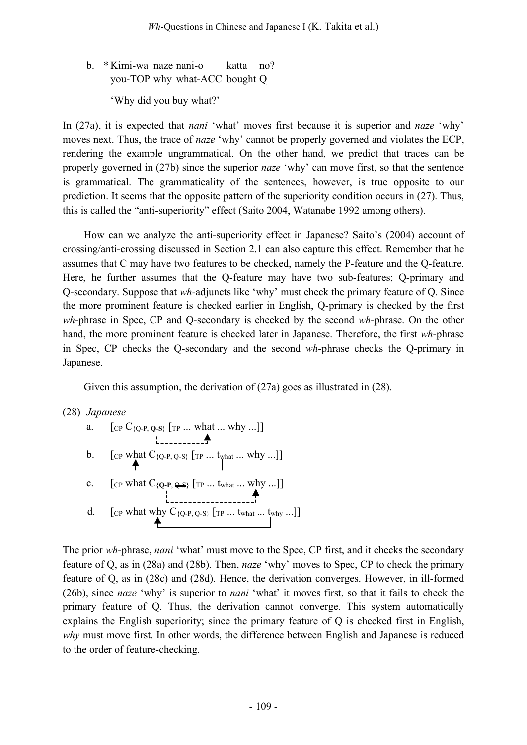b. \* Kimi-wa naze nani-o katta no? you-TOP why what-ACC bought Q 'Why did you buy what?'

In (27a), it is expected that *nani* 'what' moves first because it is superior and *naze* 'why' moves next. Thus, the trace of *naze* 'why' cannot be properly governed and violates the ECP, rendering the example ungrammatical. On the other hand, we predict that traces can be properly governed in (27b) since the superior *naze* 'why' can move first, so that the sentence is grammatical. The grammaticality of the sentences, however, is true opposite to our prediction. It seems that the opposite pattern of the superiority condition occurs in (27). Thus, this is called the "anti-superiority" effect (Saito 2004, Watanabe 1992 among others).

How can we analyze the anti-superiority effect in Japanese? Saito's (2004) account of crossing/anti-crossing discussed in Section 2.1 can also capture this effect. Remember that he assumes that C may have two features to be checked, namely the P-feature and the Q-feature. Here, he further assumes that the Q-feature may have two sub-features; Q-primary and Q-secondary. Suppose that *wh-*adjuncts like 'why' must check the primary feature of Q. Since the more prominent feature is checked earlier in English, Q-primary is checked by the first *wh*-phrase in Spec, CP and Q-secondary is checked by the second *wh*-phrase. On the other hand, the more prominent feature is checked later in Japanese. Therefore, the first *wh*-phrase in Spec, CP checks the Q-secondary and the second *wh*-phrase checks the Q-primary in Japanese.

Given this assumption, the derivation of  $(27a)$  goes as illustrated in  $(28)$ .

(28) *Japanese*

a.  $[CP C_{\{Q-P,\,Q-S\}} [TP ... \, what ... \, why ...]]$ b.  $[CP \text{ what } C_{\{Q-P, \triangleleft S\}} \text{ [TP ... } t_{\text{what ... } \text{ why ...}]}]$ c.  $[$  [CP what  $C_{\{Q-P,\,Q-S\}}$  [TP ... t<sub>what</sub> ... why ...]] d. [CP what why  $C_{\{Q-P,\,Q-S\}}$  [TP ... t<sub>what</sub> ... t<sub>why</sub> ...]]

The prior *wh*-phrase, *nani* 'what' must move to the Spec, CP first, and it checks the secondary feature of Q, as in (28a) and (28b). Then, *naze* 'why' moves to Spec, CP to check the primary feature of Q, as in (28c) and (28d). Hence, the derivation converges. However, in ill-formed (26b), since *naze* 'why' is superior to *nani* 'what' it moves first, so that it fails to check the primary feature of Q. Thus, the derivation cannot converge. This system automatically explains the English superiority; since the primary feature of Q is checked first in English, *why* must move first. In other words, the difference between English and Japanese is reduced to the order of feature-checking.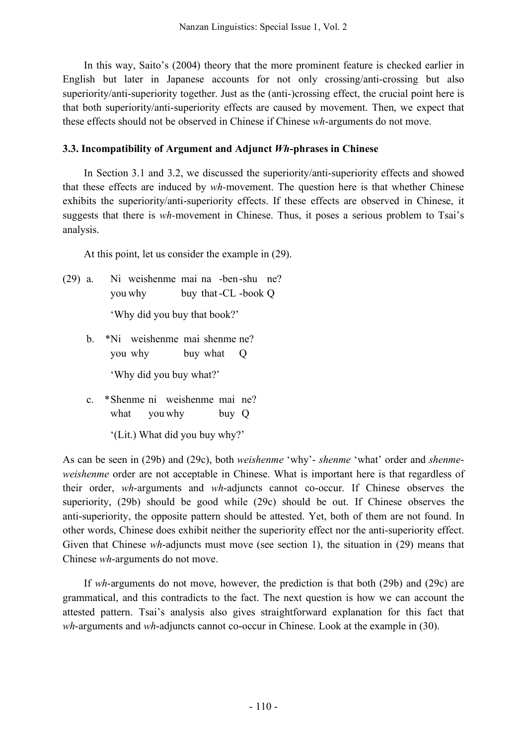In this way, Saito's (2004) theory that the more prominent feature is checked earlier in English but later in Japanese accounts for not only crossing/anti-crossing but also superiority/anti-superiority together. Just as the (anti-)crossing effect, the crucial point here is that both superiority/anti-superiority effects are caused by movement. Then, we expect that these effects should not be observed in Chinese if Chinese *wh*-arguments do not move.

## **3.3. Incompatibility of Argument and Adjunct** *Wh***-phrases in Chinese**

In Section 3.1 and 3.2, we discussed the superiority/anti-superiority effects and showed that these effects are induced by *wh-*movement. The question here is that whether Chinese exhibits the superiority/anti-superiority effects. If these effects are observed in Chinese, it suggests that there is *wh-*movement in Chinese. Thus, it poses a serious problem to Tsai's analysis.

At this point, let us consider the example in (29).

- (29) a. Ni weishenme mai na -ben-shu ne? you why buy that-CL -book Q 'Why did you buy that book?'
	- b. \*Ni weishenme mai shenme ne? you why buy what Q 'Why did you buy what?'
	- c. \*Shenme ni weishenme mai ne? what you why buy Q

'(Lit.) What did you buy why?'

As can be seen in (29b) and (29c), both *weishenme* 'why'- *shenme* 'what' order and *shenmeweishenme* order are not acceptable in Chinese. What is important here is that regardless of their order, *wh*-arguments and *wh*-adjuncts cannot co-occur. If Chinese observes the superiority, (29b) should be good while (29c) should be out. If Chinese observes the anti-superiority, the opposite pattern should be attested. Yet, both of them are not found. In other words, Chinese does exhibit neither the superiority effect nor the anti-superiority effect. Given that Chinese *wh*-adjuncts must move (see section 1), the situation in (29) means that Chinese *wh*-arguments do not move.

If *wh*-arguments do not move, however, the prediction is that both (29b) and (29c) are grammatical, and this contradicts to the fact. The next question is how we can account the attested pattern. Tsai's analysis also gives straightforward explanation for this fact that *wh*-arguments and *wh*-adjuncts cannot co-occur in Chinese. Look at the example in (30).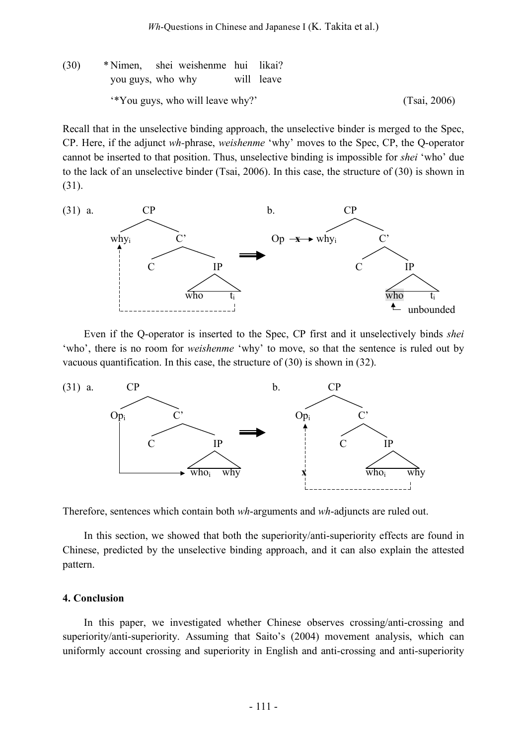(30) \* Nimen, shei weishenme hui likai? you guys, who why will leave '\*You guys, who will leave why?' (Tsai, 2006)

Recall that in the unselective binding approach, the unselective binder is merged to the Spec, CP. Here, if the adjunct *wh-*phrase, *weishenme* 'why' moves to the Spec, CP, the Q-operator cannot be inserted to that position. Thus, unselective binding is impossible for *shei* 'who' due to the lack of an unselective binder (Tsai, 2006). In this case, the structure of (30) is shown in (31).



Even if the Q-operator is inserted to the Spec, CP first and it unselectively binds *shei* 'who', there is no room for *weishenme* 'why' to move, so that the sentence is ruled out by vacuous quantification. In this case, the structure of (30) is shown in (32).



Therefore, sentences which contain both *wh*-arguments and *wh*-adjuncts are ruled out.

In this section, we showed that both the superiority/anti-superiority effects are found in Chinese, predicted by the unselective binding approach, and it can also explain the attested pattern.

#### **4. Conclusion**

In this paper, we investigated whether Chinese observes crossing/anti-crossing and superiority/anti-superiority. Assuming that Saito's (2004) movement analysis, which can uniformly account crossing and superiority in English and anti-crossing and anti-superiority